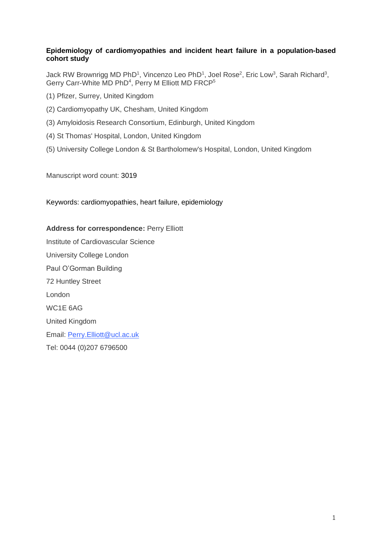## **Epidemiology of cardiomyopathies and incident heart failure in a population-based cohort study**

Jack RW Brownrigg MD PhD<sup>1</sup>, Vincenzo Leo PhD<sup>1</sup>, Joel Rose<sup>2</sup>, Eric Low<sup>3</sup>, Sarah Richard<sup>3</sup>, Gerry Carr-White MD PhD<sup>4</sup>, Perry M Elliott MD FRCP<sup>5</sup>

- (1) Pfizer, Surrey, United Kingdom
- (2) Cardiomyopathy UK, Chesham, United Kingdom
- (3) Amyloidosis Research Consortium, Edinburgh, United Kingdom
- (4) St Thomas' Hospital, London, United Kingdom
- (5) University College London & St Bartholomew's Hospital, London, United Kingdom

Manuscript word count: 3019

Keywords: cardiomyopathies, heart failure, epidemiology

**Address for correspondence:** Perry Elliott Institute of Cardiovascular Science University College London Paul O'Gorman Building 72 Huntley Street London WC1E 6AG United Kingdom Email: [Perry.Elliott@ucl.ac.uk](mailto:Perry.Elliott@ucl.ac.uk) Tel: 0044 (0)207 6796500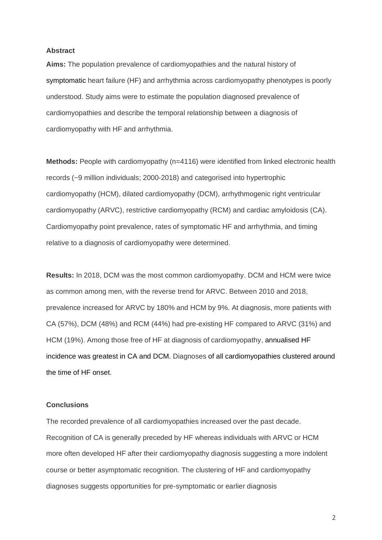#### **Abstract**

**Aims:** The population prevalence of cardiomyopathies and the natural history of symptomatic heart failure (HF) and arrhythmia across cardiomyopathy phenotypes is poorly understood. Study aims were to estimate the population diagnosed prevalence of cardiomyopathies and describe the temporal relationship between a diagnosis of cardiomyopathy with HF and arrhythmia.

**Methods:** People with cardiomyopathy (n=4116) were identified from linked electronic health records (~9 million individuals; 2000-2018) and categorised into hypertrophic cardiomyopathy (HCM), dilated cardiomyopathy (DCM), arrhythmogenic right ventricular cardiomyopathy (ARVC), restrictive cardiomyopathy (RCM) and cardiac amyloidosis (CA). Cardiomyopathy point prevalence, rates of symptomatic HF and arrhythmia, and timing relative to a diagnosis of cardiomyopathy were determined.

**Results:** In 2018, DCM was the most common cardiomyopathy. DCM and HCM were twice as common among men, with the reverse trend for ARVC. Between 2010 and 2018, prevalence increased for ARVC by 180% and HCM by 9%. At diagnosis, more patients with CA (57%), DCM (48%) and RCM (44%) had pre-existing HF compared to ARVC (31%) and HCM (19%). Among those free of HF at diagnosis of cardiomyopathy, annualised HF incidence was greatest in CA and DCM. Diagnoses of all cardiomyopathies clustered around the time of HF onset.

#### **Conclusions**

The recorded prevalence of all cardiomyopathies increased over the past decade. Recognition of CA is generally preceded by HF whereas individuals with ARVC or HCM more often developed HF after their cardiomyopathy diagnosis suggesting a more indolent course or better asymptomatic recognition. The clustering of HF and cardiomyopathy diagnoses suggests opportunities for pre-symptomatic or earlier diagnosis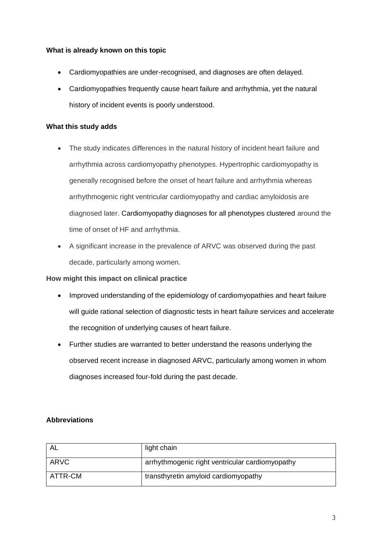# **What is already known on this topic**

- Cardiomyopathies are under-recognised, and diagnoses are often delayed.
- Cardiomyopathies frequently cause heart failure and arrhythmia, yet the natural history of incident events is poorly understood.

# **What this study adds**

- The study indicates differences in the natural history of incident heart failure and arrhythmia across cardiomyopathy phenotypes. Hypertrophic cardiomyopathy is generally recognised before the onset of heart failure and arrhythmia whereas arrhythmogenic right ventricular cardiomyopathy and cardiac amyloidosis are diagnosed later. Cardiomyopathy diagnoses for all phenotypes clustered around the time of onset of HF and arrhythmia.
- A significant increase in the prevalence of ARVC was observed during the past decade, particularly among women.

# **How might this impact on clinical practice**

- Improved understanding of the epidemiology of cardiomyopathies and heart failure will guide rational selection of diagnostic tests in heart failure services and accelerate the recognition of underlying causes of heart failure.
- Further studies are warranted to better understand the reasons underlying the observed recent increase in diagnosed ARVC, particularly among women in whom diagnoses increased four-fold during the past decade.

# **Abbreviations**

| -AL     | light chain                                     |
|---------|-------------------------------------------------|
| ARVC    | arrhythmogenic right ventricular cardiomyopathy |
| ATTR-CM | transthyretin amyloid cardiomyopathy            |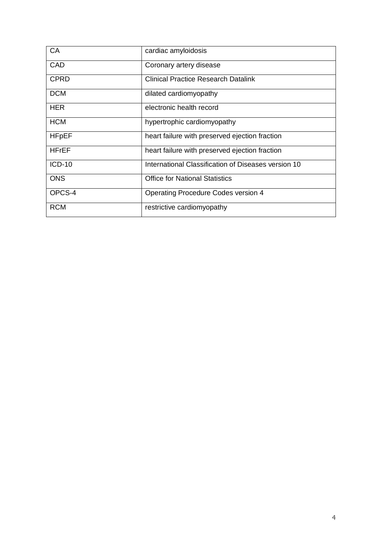| CA           | cardiac amyloidosis                                 |
|--------------|-----------------------------------------------------|
| CAD          | Coronary artery disease                             |
| <b>CPRD</b>  | <b>Clinical Practice Research Datalink</b>          |
| <b>DCM</b>   | dilated cardiomyopathy                              |
| <b>HER</b>   | electronic health record                            |
| <b>HCM</b>   | hypertrophic cardiomyopathy                         |
| <b>HFpEF</b> | heart failure with preserved ejection fraction      |
| <b>HFrEF</b> | heart failure with preserved ejection fraction      |
| $ICD-10$     | International Classification of Diseases version 10 |
| <b>ONS</b>   | <b>Office for National Statistics</b>               |
| OPCS-4       | Operating Procedure Codes version 4                 |
| <b>RCM</b>   | restrictive cardiomyopathy                          |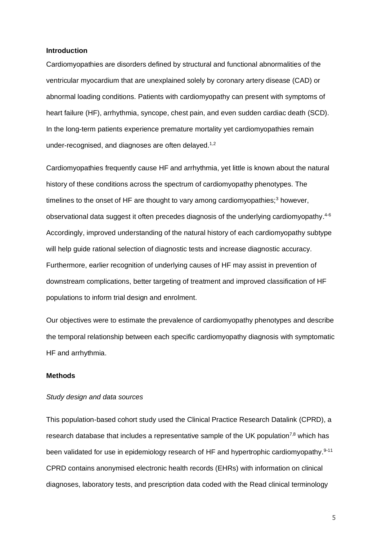#### **Introduction**

Cardiomyopathies are disorders defined by structural and functional abnormalities of the ventricular myocardium that are unexplained solely by coronary artery disease (CAD) or abnormal loading conditions. Patients with cardiomyopathy can present with symptoms of heart failure (HF), arrhythmia, syncope, chest pain, and even sudden cardiac death (SCD). In the long-term patients experience premature mortality yet cardiomyopathies remain under-recognised, and diagnoses are often delayed.<sup>1,2</sup>

Cardiomyopathies frequently cause HF and arrhythmia, yet little is known about the natural history of these conditions across the spectrum of cardiomyopathy phenotypes. The timelines to the onset of HF are thought to vary among cardiomyopathies; $3$  however, observational data suggest it often precedes diagnosis of the underlying cardiomyopathy.<sup>4-6</sup> Accordingly, improved understanding of the natural history of each cardiomyopathy subtype will help guide rational selection of diagnostic tests and increase diagnostic accuracy. Furthermore, earlier recognition of underlying causes of HF may assist in prevention of downstream complications, better targeting of treatment and improved classification of HF populations to inform trial design and enrolment.

Our objectives were to estimate the prevalence of cardiomyopathy phenotypes and describe the temporal relationship between each specific cardiomyopathy diagnosis with symptomatic HF and arrhythmia.

### **Methods**

#### *Study design and data sources*

This population-based cohort study used the Clinical Practice Research Datalink (CPRD), a research database that includes a representative sample of the UK population<sup>7,8</sup> which has been validated for use in epidemiology research of HF and hypertrophic cardiomyopathy.<sup>9-11</sup> CPRD contains anonymised electronic health records (EHRs) with information on clinical diagnoses, laboratory tests, and prescription data coded with the Read clinical terminology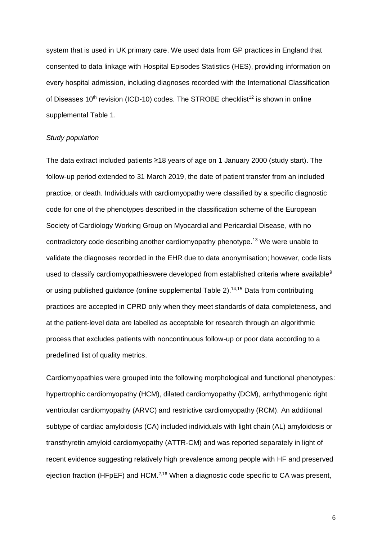system that is used in UK primary care. We used data from GP practices in England that consented to data linkage with Hospital Episodes Statistics (HES), providing information on every hospital admission, including diagnoses recorded with the International Classification of Diseases  $10<sup>th</sup>$  revision (ICD-10) codes. The STROBE checklist<sup>12</sup> is shown in online supplemental Table 1.

#### *Study population*

The data extract included patients ≥18 years of age on 1 January 2000 (study start). The follow-up period extended to 31 March 2019, the date of patient transfer from an included practice, or death. Individuals with cardiomyopathy were classified by a specific diagnostic code for one of the phenotypes described in the classification scheme of the European Society of Cardiology Working Group on Myocardial and Pericardial Disease, with no contradictory code describing another cardiomyopathy phenotype. <sup>13</sup> We were unable to validate the diagnoses recorded in the EHR due to data anonymisation; however, code lists used to classify cardiomyopathieswere developed from established criteria where available<sup>9</sup> or using published guidance (online supplemental Table 2).<sup>14,15</sup> Data from contributing practices are accepted in CPRD only when they meet standards of data completeness, and at the patient-level data are labelled as acceptable for research through an algorithmic process that excludes patients with noncontinuous follow-up or poor data according to a predefined list of quality metrics.

Cardiomyopathies were grouped into the following morphological and functional phenotypes: hypertrophic cardiomyopathy (HCM), dilated cardiomyopathy (DCM), arrhythmogenic right ventricular cardiomyopathy (ARVC) and restrictive cardiomyopathy (RCM). An additional subtype of cardiac amyloidosis (CA) included individuals with light chain (AL) amyloidosis or transthyretin amyloid cardiomyopathy (ATTR-CM) and was reported separately in light of recent evidence suggesting relatively high prevalence among people with HF and preserved ejection fraction (HFpEF) and HCM.<sup>2,16</sup> When a diagnostic code specific to CA was present,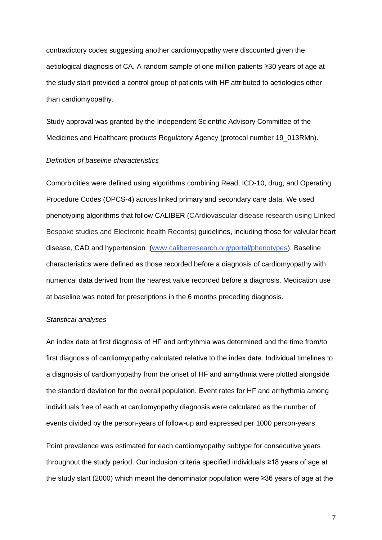contradictory codes suggesting another cardiomyopathy were discounted given the aetiological diagnosis of CA. A random sample of one million patients ≥30 years of age at the study start provided a control group of patients with HF attributed to aetiologies other than cardiomyopathy.

Study approval was granted by the Independent Scientific Advisory Committee of the Medicines and Healthcare products Regulatory Agency (protocol number 19\_013RMn).

#### *Definition of baseline characteristics*

Comorbidities were defined using algorithms combining Read, ICD-10, drug, and Operating Procedure Codes (OPCS-4) across linked primary and secondary care data. We used phenotyping algorithms that follow CALIBER (CArdiovascular disease research using LInked Bespoke studies and Electronic health Records) guidelines, including those for valvular heart disease, CAD and hypertension [\(www.caliberresearch.org/portal/phenotypes\)](http://www.caliberresearch.org/portal/phenotypes). Baseline characteristics were defined as those recorded before a diagnosis of cardiomyopathy with numerical data derived from the nearest value recorded before a diagnosis. Medication use at baseline was noted for prescriptions in the 6 months preceding diagnosis.

#### *Statistical analyses*

An index date at first diagnosis of HF and arrhythmia was determined and the time from/to first diagnosis of cardiomyopathy calculated relative to the index date. Individual timelines to a diagnosis of cardiomyopathy from the onset of HF and arrhythmia were plotted alongside the standard deviation for the overall population. Event rates for HF and arrhythmia among individuals free of each at cardiomyopathy diagnosis were calculated as the number of events divided by the person-years of follow-up and expressed per 1000 person-years.

Point prevalence was estimated for each cardiomyopathy subtype for consecutive years throughout the study period. Our inclusion criteria specified individuals ≥18 years of age at the study start (2000) which meant the denominator population were ≥36 years of age at the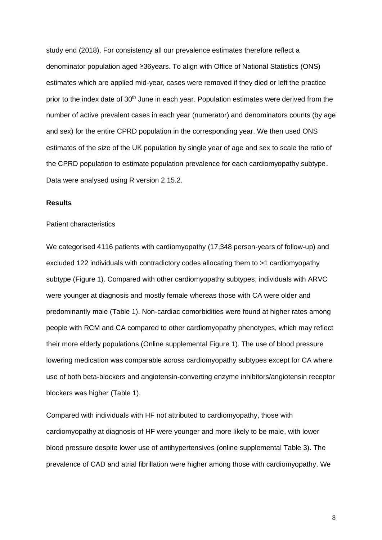study end (2018). For consistency all our prevalence estimates therefore reflect a denominator population aged ≥36years. To align with Office of National Statistics (ONS) estimates which are applied mid-year, cases were removed if they died or left the practice prior to the index date of  $30<sup>th</sup>$  June in each year. Population estimates were derived from the number of active prevalent cases in each year (numerator) and denominators counts (by age and sex) for the entire CPRD population in the corresponding year. We then used ONS estimates of the size of the UK population by single year of age and sex to scale the ratio of the CPRD population to estimate population prevalence for each cardiomyopathy subtype. Data were analysed using R version 2.15.2.

#### **Results**

#### Patient characteristics

We categorised 4116 patients with cardiomyopathy (17,348 person-years of follow-up) and excluded 122 individuals with contradictory codes allocating them to >1 cardiomyopathy subtype (Figure 1). Compared with other cardiomyopathy subtypes, individuals with ARVC were younger at diagnosis and mostly female whereas those with CA were older and predominantly male (Table 1). Non-cardiac comorbidities were found at higher rates among people with RCM and CA compared to other cardiomyopathy phenotypes, which may reflect their more elderly populations (Online supplemental Figure 1). The use of blood pressure lowering medication was comparable across cardiomyopathy subtypes except for CA where use of both beta-blockers and angiotensin-converting enzyme inhibitors/angiotensin receptor blockers was higher (Table 1).

Compared with individuals with HF not attributed to cardiomyopathy, those with cardiomyopathy at diagnosis of HF were younger and more likely to be male, with lower blood pressure despite lower use of antihypertensives (online supplemental Table 3). The prevalence of CAD and atrial fibrillation were higher among those with cardiomyopathy. We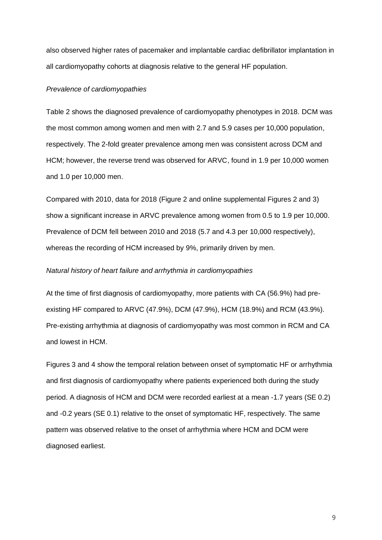also observed higher rates of pacemaker and implantable cardiac defibrillator implantation in all cardiomyopathy cohorts at diagnosis relative to the general HF population.

#### *Prevalence of cardiomyopathies*

Table 2 shows the diagnosed prevalence of cardiomyopathy phenotypes in 2018. DCM was the most common among women and men with 2.7 and 5.9 cases per 10,000 population, respectively. The 2-fold greater prevalence among men was consistent across DCM and HCM; however, the reverse trend was observed for ARVC, found in 1.9 per 10,000 women and 1.0 per 10,000 men.

Compared with 2010, data for 2018 (Figure 2 and online supplemental Figures 2 and 3) show a significant increase in ARVC prevalence among women from 0.5 to 1.9 per 10,000. Prevalence of DCM fell between 2010 and 2018 (5.7 and 4.3 per 10,000 respectively), whereas the recording of HCM increased by 9%, primarily driven by men.

#### *Natural history of heart failure and arrhythmia in cardiomyopathies*

At the time of first diagnosis of cardiomyopathy, more patients with CA (56.9%) had preexisting HF compared to ARVC (47.9%), DCM (47.9%), HCM (18.9%) and RCM (43.9%). Pre-existing arrhythmia at diagnosis of cardiomyopathy was most common in RCM and CA and lowest in HCM.

Figures 3 and 4 show the temporal relation between onset of symptomatic HF or arrhythmia and first diagnosis of cardiomyopathy where patients experienced both during the study period. A diagnosis of HCM and DCM were recorded earliest at a mean -1.7 years (SE 0.2) and -0.2 years (SE 0.1) relative to the onset of symptomatic HF, respectively. The same pattern was observed relative to the onset of arrhythmia where HCM and DCM were diagnosed earliest.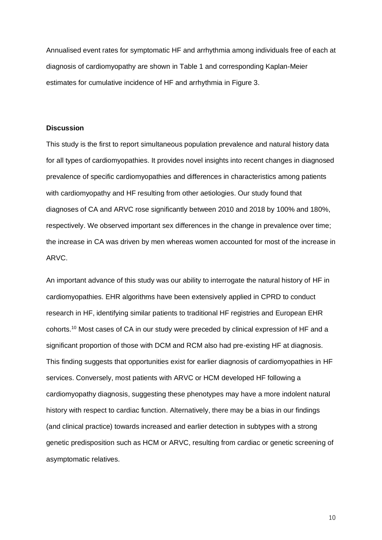Annualised event rates for symptomatic HF and arrhythmia among individuals free of each at diagnosis of cardiomyopathy are shown in Table 1 and corresponding Kaplan-Meier estimates for cumulative incidence of HF and arrhythmia in Figure 3.

#### **Discussion**

This study is the first to report simultaneous population prevalence and natural history data for all types of cardiomyopathies. It provides novel insights into recent changes in diagnosed prevalence of specific cardiomyopathies and differences in characteristics among patients with cardiomyopathy and HF resulting from other aetiologies. Our study found that diagnoses of CA and ARVC rose significantly between 2010 and 2018 by 100% and 180%, respectively. We observed important sex differences in the change in prevalence over time; the increase in CA was driven by men whereas women accounted for most of the increase in ARVC.

An important advance of this study was our ability to interrogate the natural history of HF in cardiomyopathies. EHR algorithms have been extensively applied in CPRD to conduct research in HF, identifying similar patients to traditional HF registries and European EHR cohorts.<sup>10</sup> Most cases of CA in our study were preceded by clinical expression of HF and a significant proportion of those with DCM and RCM also had pre-existing HF at diagnosis. This finding suggests that opportunities exist for earlier diagnosis of cardiomyopathies in HF services. Conversely, most patients with ARVC or HCM developed HF following a cardiomyopathy diagnosis, suggesting these phenotypes may have a more indolent natural history with respect to cardiac function. Alternatively, there may be a bias in our findings (and clinical practice) towards increased and earlier detection in subtypes with a strong genetic predisposition such as HCM or ARVC, resulting from cardiac or genetic screening of asymptomatic relatives.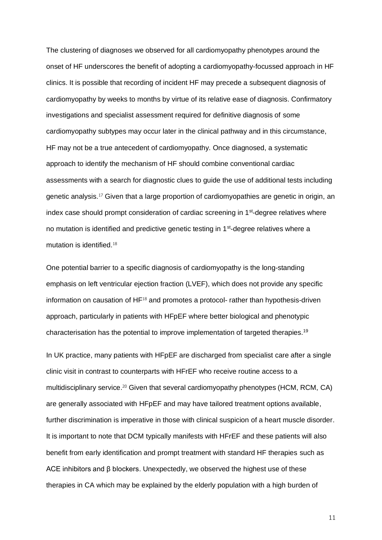The clustering of diagnoses we observed for all cardiomyopathy phenotypes around the onset of HF underscores the benefit of adopting a cardiomyopathy-focussed approach in HF clinics. It is possible that recording of incident HF may precede a subsequent diagnosis of cardiomyopathy by weeks to months by virtue of its relative ease of diagnosis. Confirmatory investigations and specialist assessment required for definitive diagnosis of some cardiomyopathy subtypes may occur later in the clinical pathway and in this circumstance, HF may not be a true antecedent of cardiomyopathy. Once diagnosed, a systematic approach to identify the mechanism of HF should combine conventional cardiac assessments with a search for diagnostic clues to guide the use of additional tests including genetic analysis.<sup>17</sup> Given that a large proportion of cardiomyopathies are genetic in origin, an index case should prompt consideration of cardiac screening in 1<sup>st</sup>-degree relatives where no mutation is identified and predictive genetic testing in 1<sup>st</sup>-degree relatives where a mutation is identified.<sup>18</sup>

One potential barrier to a specific diagnosis of cardiomyopathy is the long-standing emphasis on left ventricular ejection fraction (LVEF), which does not provide any specific information on causation of  $HF<sup>18</sup>$  and promotes a protocol- rather than hypothesis-driven approach, particularly in patients with HFpEF where better biological and phenotypic characterisation has the potential to improve implementation of targeted therapies.<sup>19</sup>

In UK practice, many patients with HFpEF are discharged from specialist care after a single clinic visit in contrast to counterparts with HFrEF who receive routine access to a multidisciplinary service.<sup>20</sup> Given that several cardiomyopathy phenotypes (HCM, RCM, CA) are generally associated with HFpEF and may have tailored treatment options available, further discrimination is imperative in those with clinical suspicion of a heart muscle disorder. It is important to note that DCM typically manifests with HFrEF and these patients will also benefit from early identification and prompt treatment with standard HF therapies such as ACE inhibitors and β blockers. Unexpectedly, we observed the highest use of these therapies in CA which may be explained by the elderly population with a high burden of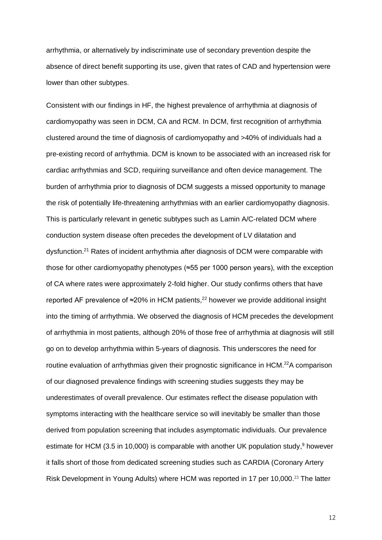arrhythmia, or alternatively by indiscriminate use of secondary prevention despite the absence of direct benefit supporting its use, given that rates of CAD and hypertension were lower than other subtypes.

Consistent with our findings in HF, the highest prevalence of arrhythmia at diagnosis of cardiomyopathy was seen in DCM, CA and RCM. In DCM, first recognition of arrhythmia clustered around the time of diagnosis of cardiomyopathy and >40% of individuals had a pre-existing record of arrhythmia. DCM is known to be associated with an increased risk for cardiac arrhythmias and SCD, requiring surveillance and often device management. The burden of arrhythmia prior to diagnosis of DCM suggests a missed opportunity to manage the risk of potentially life-threatening arrhythmias with an earlier cardiomyopathy diagnosis. This is particularly relevant in genetic subtypes such as Lamin A/C-related DCM where conduction system disease often precedes the development of LV dilatation and dysfunction.<sup>21</sup> Rates of incident arrhythmia after diagnosis of DCM were comparable with those for other cardiomyopathy phenotypes (≈55 per 1000 person years), with the exception of CA where rates were approximately 2-fold higher. Our study confirms others that have reported AF prevalence of ≈20% in HCM patients.<sup>22</sup> however we provide additional insight into the timing of arrhythmia. We observed the diagnosis of HCM precedes the development of arrhythmia in most patients, although 20% of those free of arrhythmia at diagnosis will still go on to develop arrhythmia within 5-years of diagnosis. This underscores the need for routine evaluation of arrhythmias given their prognostic significance in HCM.<sup>22</sup>A comparison of our diagnosed prevalence findings with screening studies suggests they may be underestimates of overall prevalence. Our estimates reflect the disease population with symptoms interacting with the healthcare service so will inevitably be smaller than those derived from population screening that includes asymptomatic individuals. Our prevalence estimate for HCM (3.5 in 10,000) is comparable with another UK population study,<sup>9</sup> however it falls short of those from dedicated screening studies such as CARDIA (Coronary Artery Risk Development in Young Adults) where HCM was reported in 17 per 10,000.<sup>23</sup> The latter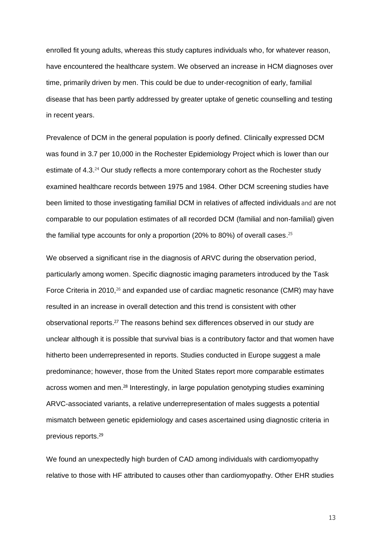enrolled fit young adults, whereas this study captures individuals who, for whatever reason, have encountered the healthcare system. We observed an increase in HCM diagnoses over time, primarily driven by men. This could be due to under-recognition of early, familial disease that has been partly addressed by greater uptake of genetic counselling and testing in recent years.

Prevalence of DCM in the general population is poorly defined. Clinically expressed DCM was found in 3.7 per 10,000 in the Rochester Epidemiology Project which is lower than our estimate of 4.3.<sup>24</sup> Our study reflects a more contemporary cohort as the Rochester study examined healthcare records between 1975 and 1984. Other DCM screening studies have been limited to those investigating familial DCM in relatives of affected individuals and are not comparable to our population estimates of all recorded DCM (familial and non-familial) given the familial type accounts for only a proportion (20% to 80%) of overall cases.<sup>25</sup>

We observed a significant rise in the diagnosis of ARVC during the observation period, particularly among women. Specific diagnostic imaging parameters introduced by the Task Force Criteria in 2010,<sup>26</sup> and expanded use of cardiac magnetic resonance (CMR) may have resulted in an increase in overall detection and this trend is consistent with other observational reports. <sup>27</sup> The reasons behind sex differences observed in our study are unclear although it is possible that survival bias is a contributory factor and that women have hitherto been underrepresented in reports. Studies conducted in Europe suggest a male predominance; however, those from the United States report more comparable estimates across women and men.<sup>28</sup> Interestingly, in large population genotyping studies examining ARVC-associated variants, a relative underrepresentation of males suggests a potential mismatch between genetic epidemiology and cases ascertained using diagnostic criteria in previous reports. 29

We found an unexpectedly high burden of CAD among individuals with cardiomyopathy relative to those with HF attributed to causes other than cardiomyopathy. Other EHR studies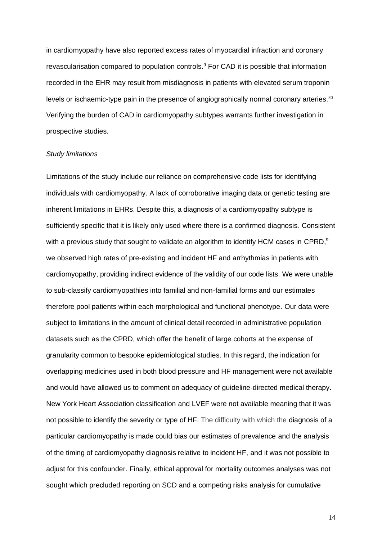in cardiomyopathy have also reported excess rates of myocardial infraction and coronary revascularisation compared to population controls.<sup>9</sup> For CAD it is possible that information recorded in the EHR may result from misdiagnosis in patients with elevated serum troponin levels or ischaemic-type pain in the presence of angiographically normal coronary arteries.<sup>30</sup> Verifying the burden of CAD in cardiomyopathy subtypes warrants further investigation in prospective studies.

#### *Study limitations*

Limitations of the study include our reliance on comprehensive code lists for identifying individuals with cardiomyopathy. A lack of corroborative imaging data or genetic testing are inherent limitations in EHRs. Despite this, a diagnosis of a cardiomyopathy subtype is sufficiently specific that it is likely only used where there is a confirmed diagnosis. Consistent with a previous study that sought to validate an algorithm to identify HCM cases in CPRD,<sup>9</sup> we observed high rates of pre-existing and incident HF and arrhythmias in patients with cardiomyopathy, providing indirect evidence of the validity of our code lists. We were unable to sub-classify cardiomyopathies into familial and non-familial forms and our estimates therefore pool patients within each morphological and functional phenotype. Our data were subject to limitations in the amount of clinical detail recorded in administrative population datasets such as the CPRD, which offer the benefit of large cohorts at the expense of granularity common to bespoke epidemiological studies. In this regard, the indication for overlapping medicines used in both blood pressure and HF management were not available and would have allowed us to comment on adequacy of guideline-directed medical therapy. New York Heart Association classification and LVEF were not available meaning that it was not possible to identify the severity or type of HF. The difficulty with which the diagnosis of a particular cardiomyopathy is made could bias our estimates of prevalence and the analysis of the timing of cardiomyopathy diagnosis relative to incident HF, and it was not possible to adjust for this confounder. Finally, ethical approval for mortality outcomes analyses was not sought which precluded reporting on SCD and a competing risks analysis for cumulative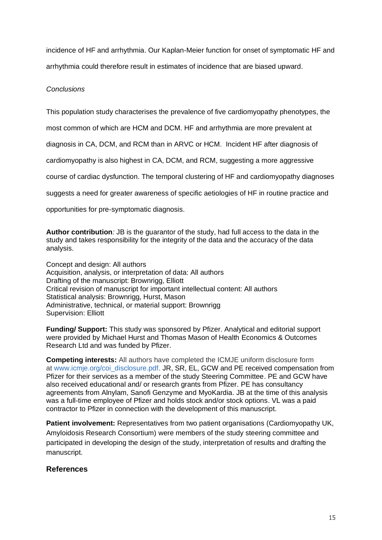incidence of HF and arrhythmia. Our Kaplan-Meier function for onset of symptomatic HF and arrhythmia could therefore result in estimates of incidence that are biased upward.

## *Conclusions*

This population study characterises the prevalence of five cardiomyopathy phenotypes, the

most common of which are HCM and DCM. HF and arrhythmia are more prevalent at

diagnosis in CA, DCM, and RCM than in ARVC or HCM. Incident HF after diagnosis of

cardiomyopathy is also highest in CA, DCM, and RCM, suggesting a more aggressive

course of cardiac dysfunction. The temporal clustering of HF and cardiomyopathy diagnoses

suggests a need for greater awareness of specific aetiologies of HF in routine practice and

opportunities for pre-symptomatic diagnosis.

**Author contribution***:* JB is the guarantor of the study, had full access to the data in the study and takes responsibility for the integrity of the data and the accuracy of the data analysis.

Concept and design: All authors Acquisition, analysis, or interpretation of data: All authors Drafting of the manuscript: Brownrigg, Elliott Critical revision of manuscript for important intellectual content: All authors Statistical analysis: Brownrigg, Hurst, Mason Administrative, technical, or material support: Brownrigg Supervision: Elliott

**Funding/ Support:** This study was sponsored by Pfizer. Analytical and editorial support were provided by Michael Hurst and Thomas Mason of Health Economics & Outcomes Research Ltd and was funded by Pfizer.

**Competing interests:** All authors have completed the ICMJE uniform disclosure form at [www.icmje.org/coi\\_disclosure.pdf.](http://www.icmje.org/coi_disclosure.pdf) JR, SR, EL, GCW and PE received compensation from Pfizer for their services as a member of the study Steering Committee. PE and GCW have also received educational and/ or research grants from Pfizer. PE has consultancy agreements from Alnylam, Sanofi Genzyme and MyoKardia. JB at the time of this analysis was a full-time employee of Pfizer and holds stock and/or stock options. VL was a paid contractor to Pfizer in connection with the development of this manuscript.

**Patient involvement:** Representatives from two patient organisations (Cardiomyopathy UK, Amyloidosis Research Consortium) were members of the study steering committee and participated in developing the design of the study, interpretation of results and drafting the manuscript.

# **References**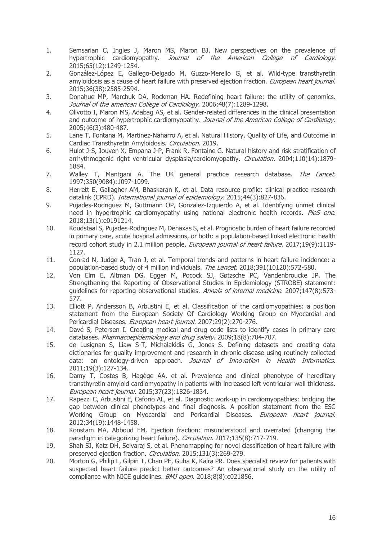- 1. Semsarian C, Ingles J, Maron MS, Maron BJ. New perspectives on the prevalence of hypertrophic cardiomyopathy. Journal of the American College of Cardiology. 2015;65(12):1249-1254.
- 2. González-López E, Gallego-Delgado M, Guzzo-Merello G, et al. Wild-type transthyretin amyloidosis as a cause of heart failure with preserved ejection fraction. *European heart journal.* 2015;36(38):2585-2594.
- 3. Donahue MP, Marchuk DA, Rockman HA. Redefining heart failure: the utility of genomics. Journal of the american College of Cardiology, 2006:48(7):1289-1298.
- 4. Olivotto I, Maron MS, Adabag AS, et al. Gender-related differences in the clinical presentation and outcome of hypertrophic cardiomyopathy. Journal of the American College of Cardiology. 2005;46(3):480-487.
- 5. Lane T, Fontana M, Martinez-Naharro A, et al. Natural History, Quality of Life, and Outcome in Cardiac Transthyretin Amyloidosis. Circulation. 2019.
- 6. Hulot J-S, Jouven X, Empana J-P, Frank R, Fontaine G. Natural history and risk stratification of arrhythmogenic right ventricular dysplasia/cardiomyopathy. Circulation. 2004;110(14):1879-1884.
- 7. Walley T, Mantgani A. The UK general practice research database. The Lancet. 1997;350(9084):1097-1099.
- 8. Herrett E, Gallagher AM, Bhaskaran K, et al. Data resource profile: clinical practice research datalink (CPRD). International journal of epidemiology. 2015;44(3):827-836.
- 9. Pujades-Rodriguez M, Guttmann OP, Gonzalez-Izquierdo A, et al. Identifying unmet clinical need in hypertrophic cardiomyopathy using national electronic health records. PloS one. 2018;13(1):e0191214.
- 10. Koudstaal S, Pujades‐Rodriguez M, Denaxas S, et al. Prognostic burden of heart failure recorded in primary care, acute hospital admissions, or both: a population-based linked electronic health record cohort study in 2.1 million people. *European journal of heart failure*. 2017;19(9):1119-1127.
- 11. Conrad N, Judge A, Tran J, et al. Temporal trends and patterns in heart failure incidence: a population-based study of 4 million individuals. The Lancet. 2018;391(10120):572-580.
- 12. Von Elm E, Altman DG, Egger M, Pocock SJ, Gøtzsche PC, Vandenbroucke JP. The Strengthening the Reporting of Observational Studies in Epidemiology (STROBE) statement: guidelines for reporting observational studies. Annals of internal medicine. 2007;147(8):573-577.
- 13. Elliott P, Andersson B, Arbustini E, et al. Classification of the cardiomyopathies: a position statement from the European Society Of Cardiology Working Group on Myocardial and Pericardial Diseases. European heart journal. 2007;29(2):270-276.
- 14. Davé S, Petersen I. Creating medical and drug code lists to identify cases in primary care databases. Pharmacoepidemiology and drug safety. 2009;18(8):704-707.
- 15. de Lusignan S, Liaw S-T, Michalakidis G, Jones S. Defining datasets and creating data dictionaries for quality improvement and research in chronic disease using routinely collected data: an ontology-driven approach. Journal of Innovation in Health Informatics. 2011;19(3):127-134.
- 16. Damy T, Costes B, Hagège AA, et al. Prevalence and clinical phenotype of hereditary transthyretin amyloid cardiomyopathy in patients with increased left ventricular wall thickness. European heart journal. 2015;37(23):1826-1834.
- 17. Rapezzi C, Arbustini E, Caforio AL, et al. Diagnostic work-up in cardiomyopathies: bridging the gap between clinical phenotypes and final diagnosis. A position statement from the ESC Working Group on Myocardial and Pericardial Diseases. European heart journal. 2012;34(19):1448-1458.
- 18. Konstam MA, Abboud FM. Ejection fraction: misunderstood and overrated (changing the paradigm in categorizing heart failure). Circulation. 2017;135(8):717-719.
- 19. Shah SJ, Katz DH, Selvaraj S, et al. Phenomapping for novel classification of heart failure with preserved ejection fraction. Circulation. 2015;131(3):269-279.
- 20. Morton G, Philip L, Gilpin T, Chan PE, Guha K, Kalra PR. Does specialist review for patients with suspected heart failure predict better outcomes? An observational study on the utility of compliance with NICE quidelines. BMJ open. 2018;8(8):e021856.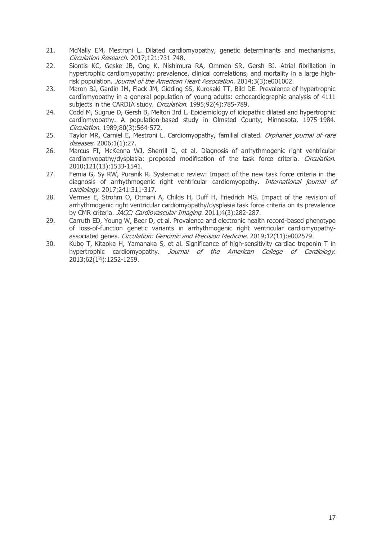- 21. McNally EM, Mestroni L. Dilated cardiomyopathy, genetic determinants and mechanisms. Circulation Research. 2017;121:731-748.
- 22. Siontis KC, Geske JB, Ong K, Nishimura RA, Ommen SR, Gersh BJ. Atrial fibrillation in hypertrophic cardiomyopathy: prevalence, clinical correlations, and mortality in a large highrisk population. Journal of the American Heart Association. 2014;3(3):e001002.
- 23. Maron BJ, Gardin JM, Flack JM, Gidding SS, Kurosaki TT, Bild DE. Prevalence of hypertrophic cardiomyopathy in a general population of young adults: echocardiographic analysis of 4111 subjects in the CARDIA study. Circulation. 1995;92(4):785-789.
- 24. Codd M, Sugrue D, Gersh B, Melton 3rd L. Epidemiology of idiopathic dilated and hypertrophic cardiomyopathy. A population-based study in Olmsted County, Minnesota, 1975-1984. Circulation. 1989;80(3):564-572.
- 25. Taylor MR, Carniel E, Mestroni L. Cardiomyopathy, familial dilated. Orphanet journal of rare diseases. 2006;1(1):27.
- 26. Marcus FI, McKenna WJ, Sherrill D, et al. Diagnosis of arrhythmogenic right ventricular cardiomyopathy/dysplasia: proposed modification of the task force criteria. *Circulation.* 2010;121(13):1533-1541.
- 27. Femia G, Sy RW, Puranik R. Systematic review: Impact of the new task force criteria in the diagnosis of arrhythmogenic right ventricular cardiomyopathy. *International journal of* cardiology. 2017;241:311-317.
- 28. Vermes E, Strohm O, Otmani A, Childs H, Duff H, Friedrich MG. Impact of the revision of arrhythmogenic right ventricular cardiomyopathy/dysplasia task force criteria on its prevalence by CMR criteria. JACC: Cardiovascular Imaging. 2011;4(3):282-287.
- 29. Carruth ED, Young W, Beer D, et al. Prevalence and electronic health record-based phenotype of loss-of-function genetic variants in arrhythmogenic right ventricular cardiomyopathyassociated genes. Circulation: Genomic and Precision Medicine. 2019;12(11):e002579.
- 30. Kubo T, Kitaoka H, Yamanaka S, et al. Significance of high-sensitivity cardiac troponin T in hypertrophic cardiomyopathy. Journal of the American College of Cardiology. 2013;62(14):1252-1259.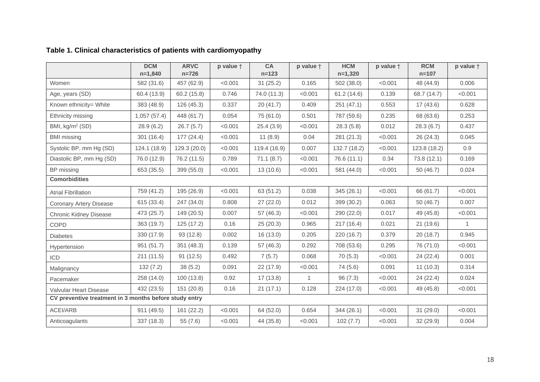|                                                        | <b>DCM</b><br>$n=1,840$ | <b>ARVC</b><br>$n = 726$ | p value + | CA<br>$n = 123$ | p value +    | <b>HCM</b><br>$n=1,320$ | p value + | <b>RCM</b><br>$n = 107$ | p value +    |
|--------------------------------------------------------|-------------------------|--------------------------|-----------|-----------------|--------------|-------------------------|-----------|-------------------------|--------------|
| Women                                                  | 582 (31.6)              | 457 (62.9)               | < 0.001   | 31(25.2)        | 0.165        | 502 (38.0)              | < 0.001   | 48 (44.9)               | 0.006        |
| Age, years (SD)                                        | 60.4 (13.9)             | 60.2 (15.8)              | 0.746     | 74.0 (11.3)     | < 0.001      | 61.2(14.6)              | 0.139     | 68.7 (14.7)             | < 0.001      |
| Known ethnicity= White                                 | 383 (48.9)              | 126(45.3)                | 0.337     | 20(41.7)        | 0.409        | 251(47.1)               | 0.553     | 17(43.6)                | 0.628        |
| Ethnicity missing                                      | 1,057(57.4)             | 448 (61.7)               | 0.054     | 75 (61.0)       | 0.501        | 787 (59.6)              | 0.235     | 68 (63.6)               | 0.253        |
| BMI, kg/m <sup>2</sup> (SD)                            | 28.9(6.2)               | 26.7(5.7)                | < 0.001   | 25.4(3.9)       | < 0.001      | 28.3(5.8)               | 0.012     | 28.3(6.7)               | 0.437        |
| <b>BMI</b> missing                                     | 301(16.4)               | 177(24.4)                | < 0.001   | 11(8.9)         | 0.04         | 281 (21.3)              | < 0.001   | 26 (24.3)               | 0.045        |
| Systolic BP, mm Hg (SD)                                | 124.1 (18.9)            | 129.3 (20.0)             | < 0.001   | 119.4 (16.9)    | 0.007        | 132.7 (18.2)            | < 0.001   | 123.8 (18.2)            | 0.9          |
| Diastolic BP, mm Hg (SD)                               | 76.0 (12.9)             | 76.2 (11.5)              | 0.789     | 71.1(8.7)       | < 0.001      | 76.6 (11.1)             | 0.34      | 73.8 (12.1)             | 0.169        |
| BP missing                                             | 653 (35.5)              | 399 (55.0)               | < 0.001   | 13(10.6)        | < 0.001      | 581 (44.0)              | < 0.001   | 50 (46.7)               | 0.024        |
| <b>Comorbidities</b>                                   |                         |                          |           |                 |              |                         |           |                         |              |
| <b>Atrial Fibrillation</b>                             | 759 (41.2)              | 195 (26.9)               | < 0.001   | 63 (51.2)       | 0.038        | 345(26.1)               | < 0.001   | 66 (61.7)               | < 0.001      |
| <b>Coronary Artery Disease</b>                         | 615 (33.4)              | 247 (34.0)               | 0.808     | 27(22.0)        | 0.012        | 399 (30.2)              | 0.063     | 50 (46.7)               | 0.007        |
| <b>Chronic Kidney Disease</b>                          | 473 (25.7)              | 149 (20.5)               | 0.007     | 57 (46.3)       | < 0.001      | 290 (22.0)              | 0.017     | 49 (45.8)               | < 0.001      |
| COPD                                                   | 363 (19.7)              | 125(17.2)                | 0.16      | 25 (20.3)       | 0.965        | 217(16.4)               | 0.021     | 21(19.6)                | $\mathbf{1}$ |
| <b>Diabetes</b>                                        | 330 (17.9)              | 93 (12.8)                | 0.002     | 16(13.0)        | 0.205        | 220 (16.7)              | 0.379     | 20 (18.7)               | 0.945        |
| Hypertension                                           | 951 (51.7)              | 351 (48.3)               | 0.139     | 57 (46.3)       | 0.292        | 708 (53.6)              | 0.295     | 76 (71.0)               | < 0.001      |
| ICD                                                    | 211(11.5)               | 91(12.5)                 | 0.492     | 7(5.7)          | 0.068        | 70(5.3)                 | < 0.001   | 24(22.4)                | 0.001        |
| Malignancy                                             | 132(7.2)                | 38(5.2)                  | 0.091     | 22 (17.9)       | < 0.001      | 74 (5.6)                | 0.091     | 11(10.3)                | 0.314        |
| Pacemaker                                              | 258 (14.0)              | 100(13.8)                | 0.92      | 17(13.8)        | $\mathbf{1}$ | 96(7.3)                 | < 0.001   | 24 (22.4)               | 0.024        |
| Valvular Heart Disease                                 | 432 (23.5)              | 151(20.8)                | 0.16      | 21(17.1)        | 0.128        | 224 (17.0)              | < 0.001   | 49 (45.8)               | < 0.001      |
| CV preventive treatment in 3 months before study entry |                         |                          |           |                 |              |                         |           |                         |              |
| ACEI/ARB                                               | 911(49.5)               | 161 (22.2)               | < 0.001   | 64 (52.0)       | 0.654        | 344(26.1)               | < 0.001   | 31(29.0)                | < 0.001      |
| Anticoagulants                                         | 337 (18.3)              | 55 (7.6)                 | < 0.001   | 44 (35.8)       | < 0.001      | 102(7.7)                | < 0.001   | 32 (29.9)               | 0.004        |

# **Table 1. Clinical characteristics of patients with cardiomyopathy**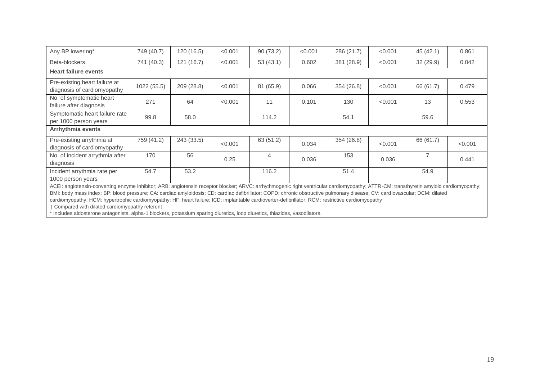| Any BP lowering*                                                                                                                                                                                                                                                                                                                                                                                                                                                                                                                                                                                                                                                                                              | 749 (40.7)  | 120(16.5)  | < 0.001 | 90(73.2)  | < 0.001 | 286 (21.7) | < 0.001 | 45 (42.1)      | 0.861   |
|---------------------------------------------------------------------------------------------------------------------------------------------------------------------------------------------------------------------------------------------------------------------------------------------------------------------------------------------------------------------------------------------------------------------------------------------------------------------------------------------------------------------------------------------------------------------------------------------------------------------------------------------------------------------------------------------------------------|-------------|------------|---------|-----------|---------|------------|---------|----------------|---------|
| Beta-blockers                                                                                                                                                                                                                                                                                                                                                                                                                                                                                                                                                                                                                                                                                                 | 741 (40.3)  | 121 (16.7) | < 0.001 | 53(43.1)  | 0.602   | 381 (28.9) | < 0.001 | 32(29.9)       | 0.042   |
| <b>Heart failure events</b>                                                                                                                                                                                                                                                                                                                                                                                                                                                                                                                                                                                                                                                                                   |             |            |         |           |         |            |         |                |         |
| Pre-existing heart failure at<br>diagnosis of cardiomyopathy                                                                                                                                                                                                                                                                                                                                                                                                                                                                                                                                                                                                                                                  | 1022 (55.5) | 209 (28.8) | < 0.001 | 81 (65.9) | 0.066   | 354 (26.8) | < 0.001 | 66 (61.7)      | 0.479   |
| No. of symptomatic heart<br>failure after diagnosis                                                                                                                                                                                                                                                                                                                                                                                                                                                                                                                                                                                                                                                           | 271         | 64         | < 0.001 | 11        | 0.101   | 130        | < 0.001 | 13             | 0.553   |
| Symptomatic heart failure rate<br>per 1000 person years                                                                                                                                                                                                                                                                                                                                                                                                                                                                                                                                                                                                                                                       | 99.8        | 58.0       |         | 114.2     |         | 54.1       |         | 59.6           |         |
| Arrhythmia events                                                                                                                                                                                                                                                                                                                                                                                                                                                                                                                                                                                                                                                                                             |             |            |         |           |         |            |         |                |         |
| Pre-existing arrythmia at<br>diagnosis of cardiomyopathy                                                                                                                                                                                                                                                                                                                                                                                                                                                                                                                                                                                                                                                      | 759 (41.2)  | 243 (33.5) | < 0.001 | 63 (51.2) | 0.034   | 354 (26.8) | < 0.001 | 66 (61.7)      | < 0.001 |
| No. of incident arrythmia after<br>diagnosis                                                                                                                                                                                                                                                                                                                                                                                                                                                                                                                                                                                                                                                                  | 170         | 56         | 0.25    | 4         | 0.036   | 153        | 0.036   | $\overline{7}$ | 0.441   |
| Incident arrythmia rate per<br>1000 person years                                                                                                                                                                                                                                                                                                                                                                                                                                                                                                                                                                                                                                                              | 54.7        | 53.2       |         | 116.2     |         | 51.4       |         | 54.9           |         |
| ACEI: angiotensin-converting enzyme inhibitor; ARB: angiotensin receptor blocker; ARVC: arrhythmogenic right ventricular cardiomyopathy; ATTR-CM: transthyretin amyloid cardiomyopathy;<br>BMI: body mass index; BP: blood pressure; CA: cardiac amyloidosis; CD: cardiac defibrillator; COPD: chronic obstructive pulmonary disease; CV: cardiovascular; DCM: dilated<br>cardiomyopathy; HCM: hypertrophic cardiomyopathy; HF: heart failure; ICD: implantable cardioverter-defibrillator; RCM: restrictive cardiomyopathy<br>† Compared with dilated cardiomyopathy referent<br>* Includes aldosterone antagonists, alpha-1 blockers, potassium sparing diuretics, loop diuretics, thiazides, vasodilators. |             |            |         |           |         |            |         |                |         |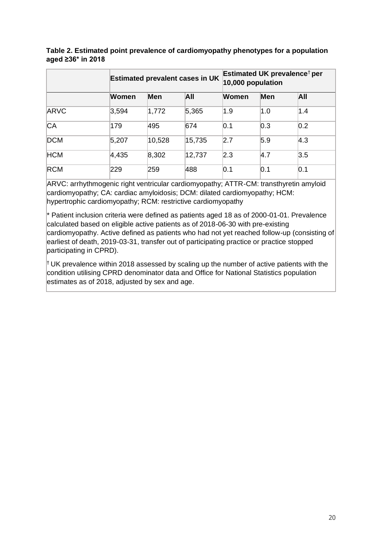|            |       |        | <b>Estimated prevalent cases in UK</b> | Estimated UK prevalence <sup>†</sup> per<br>10,000 population |            |               |  |
|------------|-------|--------|----------------------------------------|---------------------------------------------------------------|------------|---------------|--|
|            | Women | Men    | All                                    | Women                                                         | <b>Men</b> | All           |  |
| ARVC       | 3,594 | 1,772  | 5,365                                  | 1.9                                                           | 1.0        | 1.4           |  |
| <b>CA</b>  | 179   | 495    | 674                                    | 0.1                                                           | 0.3        | 0.2           |  |
| <b>DCM</b> | 5,207 | 10,528 | 15,735                                 | 2.7                                                           | 5.9        | $ 4.3\rangle$ |  |
| <b>HCM</b> | 4,435 | 8,302  | 12,737                                 | 2.3                                                           | 4.7        | 3.5           |  |
| <b>RCM</b> | 229   | 259    | 488                                    | 0.1                                                           | 0.1        | 0.1           |  |

**Table 2. Estimated point prevalence of cardiomyopathy phenotypes for a population aged ≥36\* in 2018** 

ARVC: arrhythmogenic right ventricular cardiomyopathy; ATTR-CM: transthyretin amyloid cardiomyopathy; CA: cardiac amyloidosis; DCM: dilated cardiomyopathy; HCM: hypertrophic cardiomyopathy; RCM: restrictive cardiomyopathy

 $*$  Patient inclusion criteria were defined as patients aged 18 as of 2000-01-01. Prevalence calculated based on eligible active patients as of 2018-06-30 with pre-existing cardiomyopathy. Active defined as patients who had not yet reached follow-up (consisting of earliest of death, 2019-03-31, transfer out of participating practice or practice stopped participating in CPRD).

 $\dagger$  UK prevalence within 2018 assessed by scaling up the number of active patients with the condition utilising CPRD denominator data and Office for National Statistics population estimates as of 2018, adjusted by sex and age.